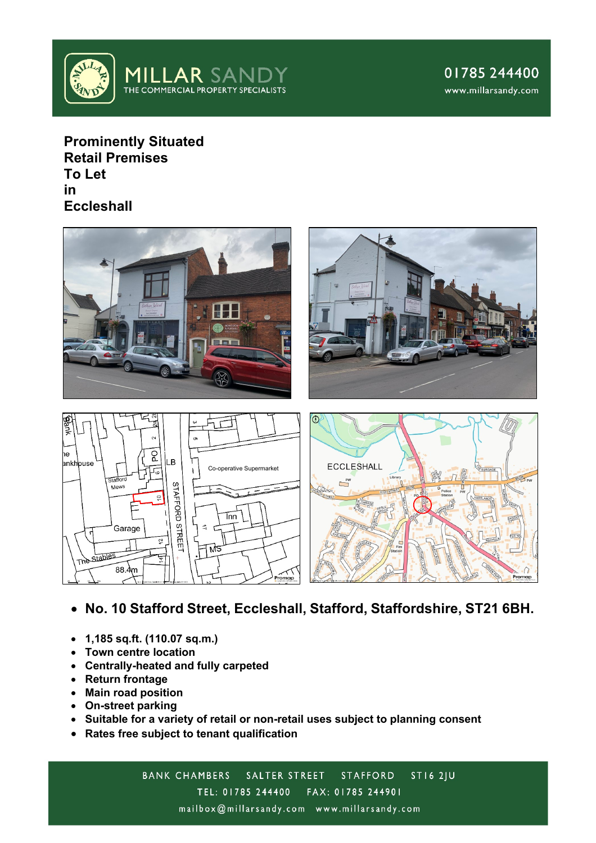

**Prominently Situated Retail Premises To Let in Eccleshall**



- **No. 10 Stafford Street, Eccleshall, Stafford, Staffordshire, ST21 6BH.**
- **1,185 sq.ft. (110.07 sq.m.)**
- **Town centre location**
- **Centrally-heated and fully carpeted**
- **Return frontage**
- **Main road position**
- **On-street parking**
- **Suitable for a variety of retail or non-retail uses subject to planning consent**
- **Rates free subject to tenant qualification**

BANK CHAMBERS SALTER STREET  $STI62JU$ **STAFFORD** TEL: 01785 244400 FAX: 01785 244901 mailbox@millarsandy.com www.millarsandy.com